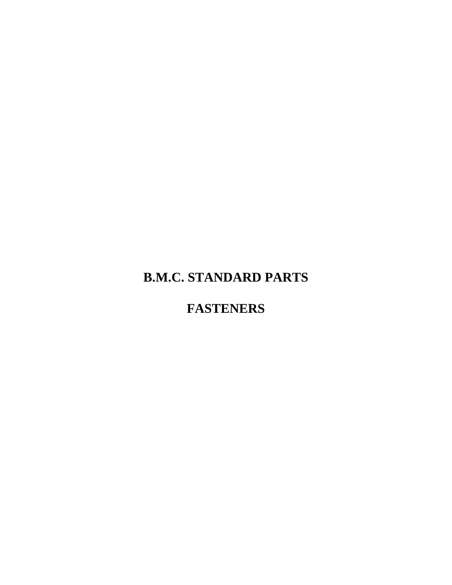# **B.M.C. STANDARD PARTS**

# **FASTENERS**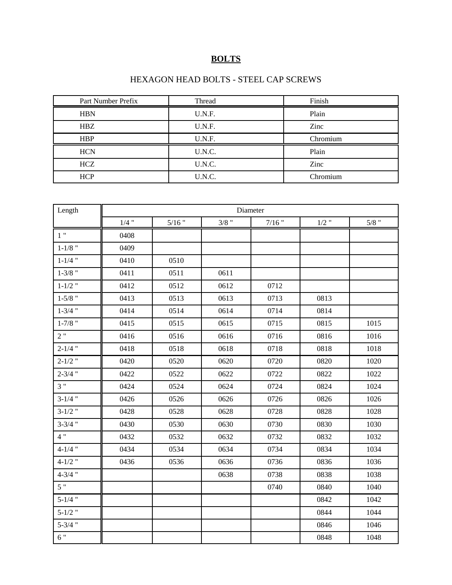### **BOLTS**

#### HEXAGON HEAD BOLTS - STEEL CAP SCREWS

| Part Number Prefix | Thread | Finish   |
|--------------------|--------|----------|
| <b>HBN</b>         | U.N.F. | Plain    |
| <b>HBZ</b>         | U.N.F. | Zinc     |
| <b>HBP</b>         | U.N.F. | Chromium |
| <b>HCN</b>         | U.N.C. | Plain    |
| HCZ                | U.N.C. | Zinc     |
| <b>HCP</b>         | U.N.C. | Chromium |

| Length      |         |          |         | Diameter |         |         |
|-------------|---------|----------|---------|----------|---------|---------|
|             | $1/4$ " | $5/16$ " | $3/8$ " | $7/16$ " | $1/2$ " | $5/8$ " |
| 1"          | 0408    |          |         |          |         |         |
| $1-1/8$ "   | 0409    |          |         |          |         |         |
| $1 - 1/4$ " | 0410    | 0510     |         |          |         |         |
| $1 - 3/8$ " | 0411    | 0511     | 0611    |          |         |         |
| $1 - 1/2$ " | 0412    | 0512     | 0612    | 0712     |         |         |
| $1 - 5/8$ " | 0413    | 0513     | 0613    | 0713     | 0813    |         |
| $1 - 3/4$ " | 0414    | 0514     | 0614    | 0714     | 0814    |         |
| $1 - 7/8$ " | 0415    | 0515     | 0615    | 0715     | 0815    | 1015    |
| 2"          | 0416    | 0516     | 0616    | 0716     | 0816    | 1016    |
| $2 - 1/4$ " | 0418    | 0518     | 0618    | 0718     | 0818    | 1018    |
| $2 - 1/2$ " | 0420    | 0520     | 0620    | 0720     | 0820    | 1020    |
| $2 - 3/4$ " | 0422    | 0522     | 0622    | 0722     | 0822    | 1022    |
| 3"          | 0424    | 0524     | 0624    | 0724     | 0824    | 1024    |
| $3-1/4$ "   | 0426    | 0526     | 0626    | 0726     | 0826    | 1026    |
| $3 - 1/2$ " | 0428    | 0528     | 0628    | 0728     | 0828    | 1028    |
| $3 - 3/4$ " | 0430    | 0530     | 0630    | 0730     | 0830    | 1030    |
| 4"          | 0432    | 0532     | 0632    | 0732     | 0832    | 1032    |
| $4 - 1/4$ " | 0434    | 0534     | 0634    | 0734     | 0834    | 1034    |
| $4 - 1/2$ " | 0436    | 0536     | 0636    | 0736     | 0836    | 1036    |
| $4 - 3/4$ " |         |          | 0638    | 0738     | 0838    | 1038    |
| 5"          |         |          |         | 0740     | 0840    | 1040    |
| $5 - 1/4$ " |         |          |         |          | 0842    | 1042    |
| $5 - 1/2$ " |         |          |         |          | 0844    | 1044    |
| $5 - 3/4$ " |         |          |         |          | 0846    | 1046    |
| 6"          |         |          |         |          | 0848    | 1048    |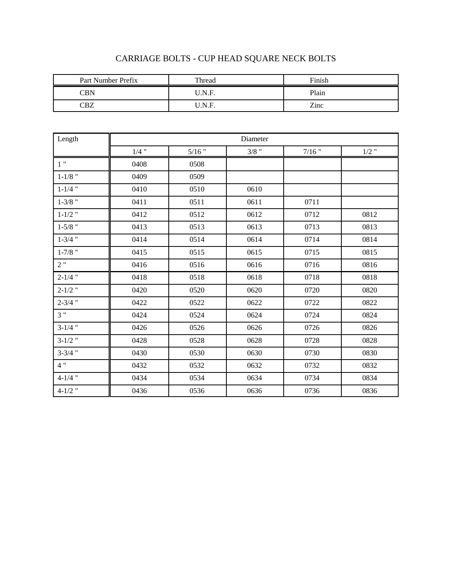| Part Number Prefix | Thread | Finish |
|--------------------|--------|--------|
| CBN                | J.N.F. | Plain  |
| ~R7                | J.N.F. | Zinc   |

## CARRIAGE BOLTS - CUP HEAD SQUARE NECK BOLTS

| Length      |         |          | Diameter |          |         |
|-------------|---------|----------|----------|----------|---------|
|             | $1/4$ " | $5/16$ " | $3/8$ "  | $7/16$ " | $1/2$ " |
| $1$ "       | 0408    | 0508     |          |          |         |
| $1 - 1/8$ " | 0409    | 0509     |          |          |         |
| $1 - 1/4$ " | 0410    | 0510     | 0610     |          |         |
| $1 - 3/8$ " | 0411    | 0511     | 0611     | 0711     |         |
| $1 - 1/2$ " | 0412    | 0512     | 0612     | 0712     | 0812    |
| $1 - 5/8$ " | 0413    | 0513     | 0613     | 0713     | 0813    |
| $1 - 3/4$ " | 0414    | 0514     | 0614     | 0714     | 0814    |
| $1 - 7/8$ " | 0415    | 0515     | 0615     | 0715     | 0815    |
| 2"          | 0416    | 0516     | 0616     | 0716     | 0816    |
| $2 - 1/4$ " | 0418    | 0518     | 0618     | 0718     | 0818    |
| $2 - 1/2$ " | 0420    | 0520     | 0620     | 0720     | 0820    |
| $2 - 3/4$ " | 0422    | 0522     | 0622     | 0722     | 0822    |
| 3"          | 0424    | 0524     | 0624     | 0724     | 0824    |
| $3-1/4$ "   | 0426    | 0526     | 0626     | 0726     | 0826    |
| $3-1/2$ "   | 0428    | 0528     | 0628     | 0728     | 0828    |
| $3 - 3/4$ " | 0430    | 0530     | 0630     | 0730     | 0830    |
| 4"          | 0432    | 0532     | 0632     | 0732     | 0832    |
| $4 - 1/4$ " | 0434    | 0534     | 0634     | 0734     | 0834    |
| $4 - 1/2$ " | 0436    | 0536     | 0636     | 0736     | 0836    |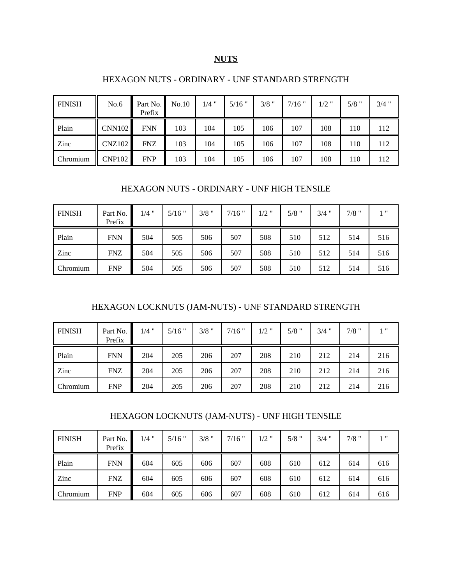#### **NUTS**

#### HEXAGON NUTS - ORDINARY - UNF STANDARD STRENGTH

| <b>FINISH</b> | No.6          | Part No.<br>Prefix | No.10 | $1/4$ " | $5/16$ " | $3/8$ " | $7/16$ " | $1/2$ " | $5/8$ " | $3/4$ " |
|---------------|---------------|--------------------|-------|---------|----------|---------|----------|---------|---------|---------|
| Plain         | CNN102        | <b>FNN</b>         | 103   | 104     | 105      | 106     | 107      | 108     | 110     | 112     |
| Zinc          | CNZ102        | <b>FNZ</b>         | 103   | 104     | 105      | 106     | 107      | 108     | 110     | 112     |
| Chromium      | <b>CNP102</b> | <b>FNP</b>         | 103   | 104     | 105      | 106     | 107      | 108     | 110     | 112     |

#### HEXAGON NUTS - ORDINARY - UNF HIGH TENSILE

| <b>FINISH</b> | Part No.<br>Prefix | $1/4$ " | $5/16$ " | $3/8$ " | $7/16$ " | $1/2$ " | $5/8$ " | $3/4$ " | $7/8$ " | $1$ $"$ |
|---------------|--------------------|---------|----------|---------|----------|---------|---------|---------|---------|---------|
| Plain         | <b>FNN</b>         | 504     | 505      | 506     | 507      | 508     | 510     | 512     | 514     | 516     |
| Zinc          | <b>FNZ</b>         | 504     | 505      | 506     | 507      | 508     | 510     | 512     | 514     | 516     |
| Chromium      | <b>FNP</b>         | 504     | 505      | 506     | 507      | 508     | 510     | 512     | 514     | 516     |

#### HEXAGON LOCKNUTS (JAM-NUTS) - UNF STANDARD STRENGTH

| <b>FINISH</b> | Part No.<br>Prefix | $1/4$ " | $5/16$ " | $3/8$ " | $7/16$ " | $1/2$ " | $5/8$ " | $3/4$ " | $7/8$ " | 1 11 |
|---------------|--------------------|---------|----------|---------|----------|---------|---------|---------|---------|------|
| Plain         | <b>FNN</b>         | 204     | 205      | 206     | 207      | 208     | 210     | 212     | 214     | 216  |
| Zinc          | <b>FNZ</b>         | 204     | 205      | 206     | 207      | 208     | 210     | 212     | 214     | 216  |
| Chromium      | <b>FNP</b>         | 204     | 205      | 206     | 207      | 208     | 210     | 212     | 214     | 216  |

#### HEXAGON LOCKNUTS (JAM-NUTS) - UNF HIGH TENSILE

| <b>FINISH</b> | Part No.<br>Prefix | $1/4$ " | $5/16$ " | $3/8$ " | $7/16$ " | $1/2$ " | $5/8$ " | $3/4$ " | $7/8$ " | 1"  |
|---------------|--------------------|---------|----------|---------|----------|---------|---------|---------|---------|-----|
| Plain         | <b>FNN</b>         | 604     | 605      | 606     | 607      | 608     | 610     | 612     | 614     | 616 |
| Zinc          | <b>FNZ</b>         | 604     | 605      | 606     | 607      | 608     | 610     | 612     | 614     | 616 |
| Chromium      | <b>FNP</b>         | 604     | 605      | 606     | 607      | 608     | 610     | 612     | 614     | 616 |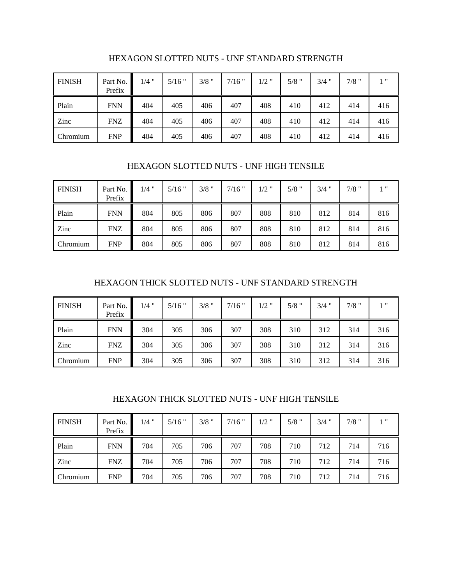| <b>FINISH</b> | Part No.<br>Prefix | $1/4$ " | $5/16$ " | $3/8$ " | $7/16$ " | $1/2$ " | $5/8$ " | $3/4$ " | $7/8$ " | $1$ $"$ |
|---------------|--------------------|---------|----------|---------|----------|---------|---------|---------|---------|---------|
| Plain         | <b>FNN</b>         | 404     | 405      | 406     | 407      | 408     | 410     | 412     | 414     | 416     |
| Zinc          | <b>FNZ</b>         | 404     | 405      | 406     | 407      | 408     | 410     | 412     | 414     | 416     |
| Chromium      | <b>FNP</b>         | 404     | 405      | 406     | 407      | 408     | 410     | 412     | 414     | 416     |

#### HEXAGON SLOTTED NUTS - UNF STANDARD STRENGTH

#### HEXAGON SLOTTED NUTS - UNF HIGH TENSILE

| <b>FINISH</b> | Part No.<br>Prefix | $1/4$ " | $5/16$ " | $3/8$ " | $7/16$ " | $1/2$ " | $5/8$ " | $3/4$ " | $7/8$ " | 1"  |
|---------------|--------------------|---------|----------|---------|----------|---------|---------|---------|---------|-----|
| Plain         | <b>FNN</b>         | 804     | 805      | 806     | 807      | 808     | 810     | 812     | 814     | 816 |
| Zinc          | <b>FNZ</b>         | 804     | 805      | 806     | 807      | 808     | 810     | 812     | 814     | 816 |
| Chromium      | <b>FNP</b>         | 804     | 805      | 806     | 807      | 808     | 810     | 812     | 814     | 816 |

#### HEXAGON THICK SLOTTED NUTS - UNF STANDARD STRENGTH

| <b>FINISH</b> | Part No.<br>Prefix | $1/4$ " | $5/16$ " | $3/8$ " | $7/16$ " | $1/2$ " | $5/8$ " | $3/4$ " | $7/8$ " | $1$ " |
|---------------|--------------------|---------|----------|---------|----------|---------|---------|---------|---------|-------|
| Plain         | <b>FNN</b>         | 304     | 305      | 306     | 307      | 308     | 310     | 312     | 314     | 316   |
| Zinc          | <b>FNZ</b>         | 304     | 305      | 306     | 307      | 308     | 310     | 312     | 314     | 316   |
| Chromium      | <b>FNP</b>         | 304     | 305      | 306     | 307      | 308     | 310     | 312     | 314     | 316   |

#### HEXAGON THICK SLOTTED NUTS - UNF HIGH TENSILE

| <b>FINISH</b> | Part No.<br>Prefix | $1/4$ " | $5/16$ " | $3/8$ " | $7/16$ " | $1/2$ " | $5/8$ " | $3/4$ " | $7/8$ " | $1$ $"$ |
|---------------|--------------------|---------|----------|---------|----------|---------|---------|---------|---------|---------|
| Plain         | <b>FNN</b>         | 704     | 705      | 706     | 707      | 708     | 710     | 712     | 714     | 716     |
| Zinc          | <b>FNZ</b>         | 704     | 705      | 706     | 707      | 708     | 710     | 712     | 714     | 716     |
| Chromium      | <b>FNP</b>         | 704     | 705      | 706     | 707      | 708     | 710     | 712     | 714     | 716     |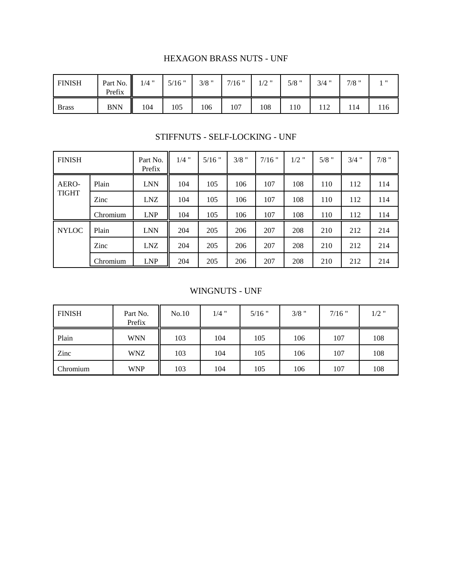#### HEXAGON BRASS NUTS - UNF

| <b>FINISH</b> | Part No.<br>Prefix | $1/4$ " | $5/16$ " | $3/8$ " | $7/16$ " | $1/2$ " | $5/8$ " | $3/4$ " | $7/8$ " | ''  |
|---------------|--------------------|---------|----------|---------|----------|---------|---------|---------|---------|-----|
| <b>Brass</b>  | <b>BNN</b>         | 104     | 105      | 106     | 107      | 108     | 110     | 12      | 14      | 116 |

STIFFNUTS - SELF-LOCKING - UNF

| <b>FINISH</b> |          | Part No.<br>Prefix | $1/4$ " | $5/16$ " | $3/8$ " | $7/16$ " | $1/2$ " | $5/8$ " | $3/4$ " | $7/8$ " |
|---------------|----------|--------------------|---------|----------|---------|----------|---------|---------|---------|---------|
| AERO-         | Plain    | <b>LNN</b>         | 104     | 105      | 106     | 107      | 108     | 110     | 112     | 114     |
| <b>TIGHT</b>  | Zinc     | <b>LNZ</b>         | 104     | 105      | 106     | 107      | 108     | 110     | 112     | 114     |
|               | Chromium | <b>LNP</b>         | 104     | 105      | 106     | 107      | 108     | 110     | 112     | 114     |
| <b>NYLOC</b>  | Plain    | <b>LNN</b>         | 204     | 205      | 206     | 207      | 208     | 210     | 212     | 214     |
|               | Zinc     | LNZ                | 204     | 205      | 206     | 207      | 208     | 210     | 212     | 214     |
|               | Chromium | <b>LNP</b>         | 204     | 205      | 206     | 207      | 208     | 210     | 212     | 214     |

#### WINGNUTS - UNF

| <b>FINISH</b> | Part No.<br>Prefix | No.10 | $1/4$ " | $5/16$ " | $3/8$ " | $7/16$ " | $1/2$ " |
|---------------|--------------------|-------|---------|----------|---------|----------|---------|
| Plain         | <b>WNN</b>         | 103   | 104     | 105      | 106     | 107      | 108     |
| Zinc          | <b>WNZ</b>         | 103   | 104     | 105      | 106     | 107      | 108     |
| Chromium      | <b>WNP</b>         | 103   | 104     | 105      | 106     | 107      | 108     |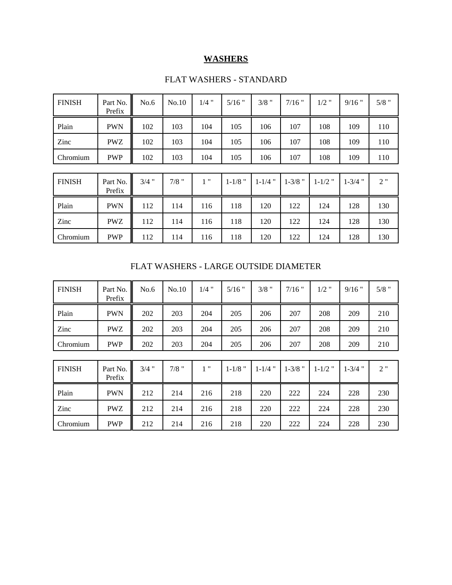#### **WASHERS**

| <b>FINISH</b> | Part No.<br>Prefix | No.6    | No.10   | $1/4$ " | $5/16$ "    | $3/8$ "     | $7/16$ "    | $1/2$ "     | $9/16$ "    | $5/8$ " |
|---------------|--------------------|---------|---------|---------|-------------|-------------|-------------|-------------|-------------|---------|
| Plain         | <b>PWN</b>         | 102     | 103     | 104     | 105         | 106         | 107         | 108         | 109         | 110     |
| Zinc          | <b>PWZ</b>         | 102     | 103     | 104     | 105         | 106         | 107         | 108         | 109         | 110     |
| Chromium      | <b>PWP</b>         | 102     | 103     | 104     | 105         | 106         | 107         | 108         | 109         | 110     |
|               |                    |         |         |         |             |             |             |             |             |         |
| <b>FINISH</b> | Part No.<br>Prefix | $3/4$ " | $7/8$ " | 1"      | $1 - 1/8$ " | $1 - 1/4$ " | $1 - 3/8$ " | $1 - 1/2$ " | $1 - 3/4$ " | 2"      |
| Plain         | <b>PWN</b>         | 112     | 114     | 116     | 118         | 120         | 122         | 124         | 128         | 130     |
| Zinc          | <b>PWZ</b>         | 112     | 114     | 116     | 118         | 120         | 122         | 124         | 128         | 130     |
| Chromium      | <b>PWP</b>         | 112     | 114     | 116     | 118         | 120         | 122         | 124         | 128         | 130     |

#### FLAT WASHERS - STANDARD

FLAT WASHERS - LARGE OUTSIDE DIAMETER

| <b>FINISH</b> | Part No.<br>Prefix | No.6    | No.10   | $1/4$ " | $5/16$ "    | $3/8$ "     | $7/16$ "    | $1/2$ "     | $9/16$ "    | $5/8$ " |
|---------------|--------------------|---------|---------|---------|-------------|-------------|-------------|-------------|-------------|---------|
| Plain         | <b>PWN</b>         | 202     | 203     | 204     | 205         | 206         | 207         | 208         | 209         | 210     |
| Zinc          | <b>PWZ</b>         | 202     | 203     | 204     | 205         | 206         | 207         | 208         | 209         | 210     |
| Chromium      | <b>PWP</b>         | 202     | 203     | 204     | 205         | 206         | 207         | 208         | 209         | 210     |
|               |                    |         |         |         |             |             |             |             |             |         |
| <b>FINISH</b> | Part No.<br>Prefix | $3/4$ " | $7/8$ " | 1"      | $1 - 1/8$ " | $1 - 1/4$ " | $1 - 3/8$ " | $1 - 1/2$ " | $1 - 3/4$ " | 2"      |
| Plain         | <b>PWN</b>         | 212     | 214     | 216     | 218         | 220         | 222         | 224         | 228         | 230     |
| Zinc          | <b>PWZ</b>         | 212     | 214     | 216     | 218         | 220         | 222         | 224         | 228         | 230     |
| Chromium      | <b>PWP</b>         | 212     | 214     | 216     | 218         | 220         | 222         | 224         | 228         | 230     |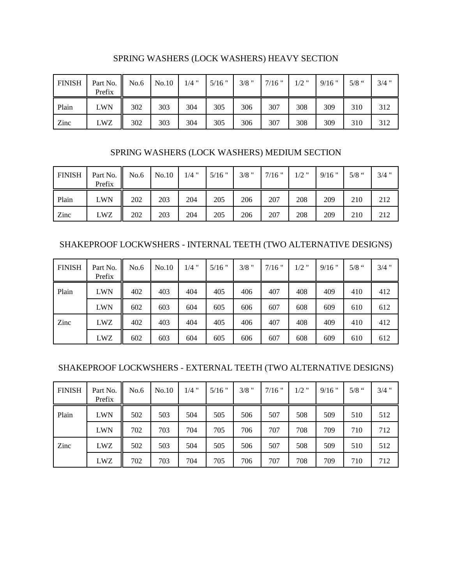| <b>FINISH</b> | Part No. $\parallel$ No.6<br>Prefix |     | No.10 | $1/4$ " | $5/16$ " | $3/8$ " | $7/16$ " | $1/2$ " | $9/16$ " | $5/8$ " | $3/4$ " |
|---------------|-------------------------------------|-----|-------|---------|----------|---------|----------|---------|----------|---------|---------|
| Plain         | LWN                                 | 302 | 303   | 304     | 305      | 306     | 307      | 308     | 309      | 310     | 312     |
| Zinc          | LWZ                                 | 302 | 303   | 304     | 305      | 306     | 307      | 308     | 309      | 310     | 312     |

SPRING WASHERS (LOCK WASHERS) HEAVY SECTION

#### SPRING WASHERS (LOCK WASHERS) MEDIUM SECTION

| <b>FINISH</b> | Part No. No.6<br>Prefix |     | No.10 | $1/4$ " | $5/16$ " | $3/8$ " | $7/16$ " | $1/2$ " | $9/16$ " | $5/8$ " | $3/4$ " |
|---------------|-------------------------|-----|-------|---------|----------|---------|----------|---------|----------|---------|---------|
| Plain         | <b>LWN</b>              | 202 | 203   | 204     | 205      | 206     | 207      | 208     | 209      | 210     | 212     |
| Zinc          | LWZ                     | 202 | 203   | 204     | 205      | 206     | 207      | 208     | 209      | 210     | 212     |

SHAKEPROOF LOCKWSHERS - INTERNAL TEETH (TWO ALTERNATIVE DESIGNS)

| <b>FINISH</b> | Part No.<br>Prefix | No.6 | No.10 | $1/4$ " | $5/16$ " | $3/8$ " | $7/16$ " | $1/2$ " | $9/16$ " | $5/8$ " | $3/4$ " |
|---------------|--------------------|------|-------|---------|----------|---------|----------|---------|----------|---------|---------|
| Plain         | <b>LWN</b>         | 402  | 403   | 404     | 405      | 406     | 407      | 408     | 409      | 410     | 412     |
|               | <b>LWN</b>         | 602  | 603   | 604     | 605      | 606     | 607      | 608     | 609      | 610     | 612     |
| Zinc          | LWZ                | 402  | 403   | 404     | 405      | 406     | 407      | 408     | 409      | 410     | 412     |
|               | <b>LWZ</b>         | 602  | 603   | 604     | 605      | 606     | 607      | 608     | 609      | 610     | 612     |

#### SHAKEPROOF LOCKWSHERS - EXTERNAL TEETH (TWO ALTERNATIVE DESIGNS)

| <b>FINISH</b> | Part No.<br>Prefix | No.6 | No.10 | $1/4$ " | $5/16$ " | $3/8$ " | $7/16$ " | $1/2$ " | $9/16$ " | $5/8$ " | $3/4$ " |
|---------------|--------------------|------|-------|---------|----------|---------|----------|---------|----------|---------|---------|
| Plain         | <b>LWN</b>         | 502  | 503   | 504     | 505      | 506     | 507      | 508     | 509      | 510     | 512     |
|               | <b>LWN</b>         | 702  | 703   | 704     | 705      | 706     | 707      | 708     | 709      | 710     | 712     |
| Zinc          | LWZ                | 502  | 503   | 504     | 505      | 506     | 507      | 508     | 509      | 510     | 512     |
|               | LWZ                | 702  | 703   | 704     | 705      | 706     | 707      | 708     | 709      | 710     | 712     |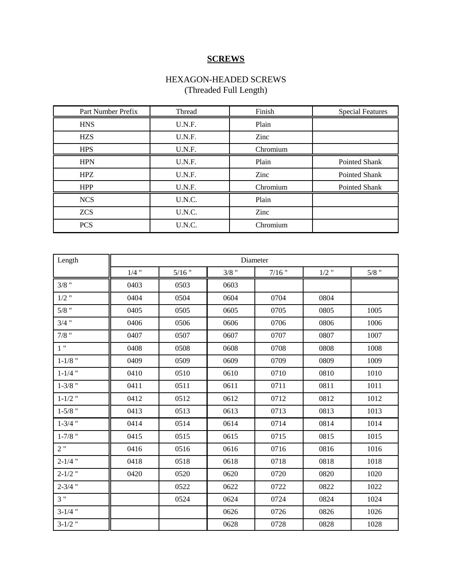### **SCREWS**

#### HEXAGON-HEADED SCREWS (Threaded Full Length)

| Part Number Prefix | Thread | Finish   | <b>Special Features</b> |
|--------------------|--------|----------|-------------------------|
| <b>HNS</b>         | U.N.F. | Plain    |                         |
| <b>HZS</b>         | U.N.F. | Zinc     |                         |
| <b>HPS</b>         | U.N.F. | Chromium |                         |
| <b>HPN</b>         | U.N.F. | Plain    | Pointed Shank           |
| <b>HPZ</b>         | U.N.F. | Zinc     | Pointed Shank           |
| <b>HPP</b>         | U.N.F. | Chromium | Pointed Shank           |
| <b>NCS</b>         | U.N.C. | Plain    |                         |
| <b>ZCS</b>         | U.N.C. | Zinc     |                         |
| <b>PCS</b>         | U.N.C. | Chromium |                         |

| Length      |         |          |         | Diameter |         |         |
|-------------|---------|----------|---------|----------|---------|---------|
|             | $1/4$ " | $5/16$ " | $3/8$ " | $7/16$ " | $1/2$ " | $5/8$ " |
| $3/8$ "     | 0403    | 0503     | 0603    |          |         |         |
| $1/2$ "     | 0404    | 0504     | 0604    | 0704     | 0804    |         |
| $5/8$ "     | 0405    | 0505     | 0605    | 0705     | 0805    | 1005    |
| $3/4$ "     | 0406    | 0506     | 0606    | 0706     | 0806    | 1006    |
| $7/8$ "     | 0407    | 0507     | 0607    | 0707     | 0807    | 1007    |
| 1"          | 0408    | 0508     | 0608    | 0708     | 0808    | 1008    |
| $1 - 1/8$ " | 0409    | 0509     | 0609    | 0709     | 0809    | 1009    |
| $1 - 1/4$ " | 0410    | 0510     | 0610    | 0710     | 0810    | 1010    |
| $1 - 3/8$ " | 0411    | 0511     | 0611    | 0711     | 0811    | 1011    |
| $1 - 1/2$ " | 0412    | 0512     | 0612    | 0712     | 0812    | 1012    |
| $1 - 5/8$ " | 0413    | 0513     | 0613    | 0713     | 0813    | 1013    |
| $1 - 3/4$ " | 0414    | 0514     | 0614    | 0714     | 0814    | 1014    |
| $1 - 7/8$ " | 0415    | 0515     | 0615    | 0715     | 0815    | 1015    |
| 2"          | 0416    | 0516     | 0616    | 0716     | 0816    | 1016    |
| $2 - 1/4$ " | 0418    | 0518     | 0618    | 0718     | 0818    | 1018    |
| $2 - 1/2$ " | 0420    | 0520     | 0620    | 0720     | 0820    | 1020    |
| $2 - 3/4$ " |         | 0522     | 0622    | 0722     | 0822    | 1022    |
| 3"          |         | 0524     | 0624    | 0724     | 0824    | 1024    |
| $3-1/4$ "   |         |          | 0626    | 0726     | 0826    | 1026    |
| $3-1/2$ "   |         |          | 0628    | 0728     | 0828    | 1028    |